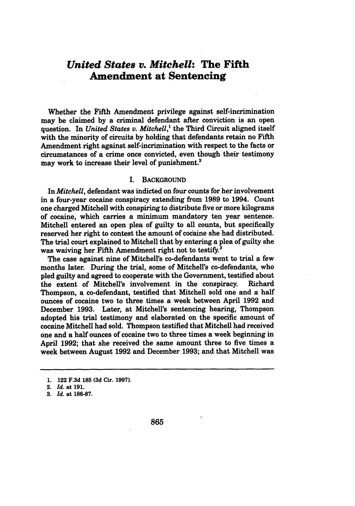# *United States v. Mitchell:* **The Fifth Amendment at Sentencing**

Whether the Fifth Amendment privilege against self-incrimination may be claimed by a criminal defendant after conviction is an open question. In *United States v. Mitchell*,<sup>1</sup> the Third Circuit aligned itself with the minority of circuits by holding that defendants retain no Fifth Amendment right against self-incrimination with respect to the facts or circumstances of a crime once convicted, even though their testimony may work to increase their level of punishment.<sup>2</sup>

### I. BACKGROUND

In *Mitchell,* defendant was indicted on four counts for her involvement in a four-year cocaine conspiracy extending from **1989** to 1994. Count one charged Mitchell with conspiring to distribute five or more kilograms of cocaine, which carries a minimum mandatory ten year sentence. Mitchell entered an open plea of guilty to all counts, but specifically reserved her right to contest the amount of codaine she had distributed. The trial court explained to Mitchell that by entering a plea of guilty she was waiving her Fifth Amendment right not to testify.<sup>3</sup>

The case against nine of Mitchell's co-defendants went to trial a few months later. During the trial, some of Mitchell's co-defendants, who pled guilty and agreed to cooperate with the Government, testified about the extent of Mitchell's involvement in the conspiracy. Richard Thompson, a co-defendant, testified that Mitchell sold one and a half ounces of cocaine two to three times a week between April **1992** and December **1993.** Later, at Mitchell's sentencing hearing, Thompson adopted his trial testimony and elaborated on the specific amount of cocaine Mitchell had sold. Thompson testified that Mitchell had received one and a half ounces of cocaine two to three times a week beginning in April **1992;** that she received the same amount three to five times a week between August **1992** and December **1993;** and that Mitchell was

**<sup>1.</sup>** 122 **F.3d 185 (3d** Cir. **1997).**

<sup>2.</sup> *Id.* at **191.**

**<sup>3.</sup>** *Id.* at **186-87.**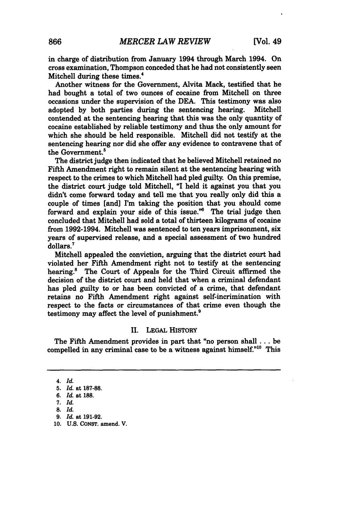in charge of distribution from January 1994 through March 1994. On cross examination, Thompson conceded that he had not consistently seen Mitchell during these times.4

Another witness for the Government, Alvita Mack, testified that he had bought a total of two ounces of cocaine from Mitchell on three occasions under the supervision of the **DEA.** This testimony was also adopted **by** both parties during the sentencing hearing. Mitchell contended at the sentencing hearing that this was the only quantity of cocaine established **by** reliable testimony and thus the only amount for which she should be held responsible. Mitchell did not testify at the sentencing hearing nor did she offer any evidence to contravene that of the Government.<sup>5</sup>

The district judge then indicated that he believed Mitchell retained no Fifth Amendment right to remain silent at the sentencing hearing with respect to the crimes to which Mitchell had pled guilty. On this premise, the district court judge told Mitchell, **"I** held it against you that you didn't come forward today and tell me that you really only did this a couple of times [and] I'm taking the position that you should come forward and explain your side of this issue."<sup>6</sup> The trial judge then concluded that Mitchell had sold a total of thirteen kilograms of cocaine from 1992-1994. Mitchell was sentenced to ten years imprisonment, six years of supervised release, and a special assessment of two hundred dollars.7

Mitchell appealed the conviction, arguing that the district court had violated her Fifth Amendment right not to testify at the sentencing hearing.<sup>8</sup> The Court of Appeals for the Third Circuit affirmed the decision of the district court and held that when a criminal defendant has pled guilty to or has been convicted of a crime, that defendant retains no Fifth Amendment right against self-incrimination with respect to the facts or circumstances of that crime even though the testimony may affect the level of punishment.<sup>9</sup>

## II. **LEGAL** HISTORY

The Fifth Amendment provides in part that "no person shall **...** be compelled in any criminal case to be a witness against himself."<sup>10</sup> This

*<sup>4.</sup> Id.*

**<sup>5.</sup>** *Id.* at **187-88.**

**<sup>6.</sup>** *Id.* at **188.**

*<sup>7.</sup> Id.*

**<sup>8.</sup>** *Id.*

**<sup>9.</sup>** *Id.* at **191-92.**

**<sup>10.</sup> U.S. CONST. amend. V.**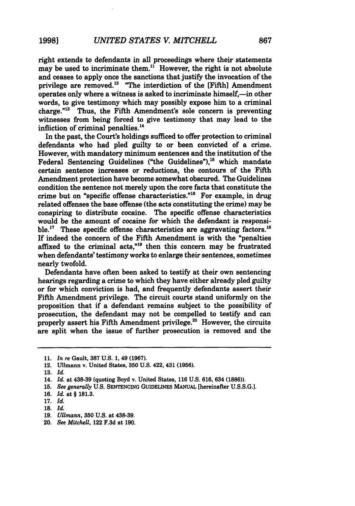right extends to defendants in all proceedings where their statements may be used to incriminate them.<sup>11</sup> However, the right is not absolute and ceases to apply once the sanctions that justify the invocation of the privilege are removed.<sup>12</sup> "The interdiction of the [Fifth] Amendment operates only where a witness is asked to incriminate himself,—in other words, to give testimony which may possibly expose him to a criminal charge."13 Thus, the Fifth Amendment's sole concern is preventing witnesses from being forced to give testimony that may lead to the infliction of criminal penalties.<sup>14</sup>

In the past, the Court's holdings sufficed to offer protection to criminal defendants who had pled guilty to or been convicted of a crime. However, with mandatory minimum sentences and the institution of the Federal Sentencing Guidelines ("the Guidelines"),<sup>15</sup> which mandate certain sentence increases or reductions, the contours of the Fifth Amendment protection have become somewhat obscured. The Guidelines condition the sentence not merely upon the core facts that constitute the crime but on "specific offense characteristics."<sup>16</sup> For example, in drug related offenses the base offense (the acts constituting the crime) may be conspiring to distribute cocaine. The specific offense characteristics would be the amount of cocaine for which the defendant is responsible.<sup>17</sup> These specific offense characteristics are aggravating factors.<sup>18</sup> **If** indeed the concern of the Fifth Amendment is with the "penalties affixed to the criminal acts,"<sup>19</sup> then this concern may be frustrated when defendants' testimony works to enlarge their sentences, sometimes nearly twofold.

Defendants have often been asked to testify at their own sentencing hearings regarding a crime to which they have either already pled guilty or for which conviction is had, and frequently defendants assert their Fifth Amendment privilege. The circuit courts stand uniformly on the proposition that if a defendant remains subject to the possibility of prosecution, the defendant may not be compelled to testify and can properly assert his Fifth Amendment privilege.<sup>20</sup> However, the circuits are split when the issue of further prosecution is removed and the

- **19.** *Ullmann,* **350 U.S.** at **438-39.**
- 20. *See Mitchell,* 122 F.3d at 190.

**<sup>11.</sup>** *In re* Gault, **387 U.S. 1,** 49 **(1967).**

<sup>12.</sup> Ullmann v. United States, **350 U.S.** 422, 431 **(1956).**

**<sup>13.</sup>** *Id.*

**<sup>14.</sup>** *Id* at **438-39** (quoting Boyd v. United States, **116 U.S. 616,** 634 **(1886)).**

**<sup>15.</sup>** *See generally* **U.S. SENTENCING** GUIDELINES MANUAL [hereinafter **U.S.S.G.].**

**<sup>16.</sup>** *Id.* at § 181.3.

<sup>17.</sup> *Id.*

<sup>18.</sup> *Id.*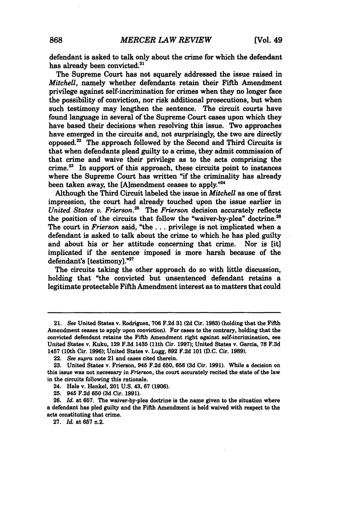defendant is asked to talk only about the crime for which the defendant has already been convicted.<sup>21</sup>

The Supreme Court has not squarely addressed the issue raised in *Mitchell,* namely whether defendants retain their Fifth Amendment privilege against self-incrimination for crimes when they no longer face the possibility of conviction, nor risk additional prosecutions, but when such testimony may lengthen the sentence. The circuit courts have found language in several of the Supreme Court cases upon which they have based their decisions when resolving this issue. Two approaches have emerged in the circuits and, not surprisingly, the two are directly opposed.' The approach followed **by** the Second and Third Circuits is that when defendants plead guilty to a crime, they admit commission of that crime and waive their privilege as to the acts comprising the crime. $^{23}$  In support of this approach, these circuits point to instances where the Supreme Court has written "if the criminality has already been taken away, the [Ajmendment ceases to apply."24

Although the Third Circuit labeled the issue in *Mitchell* as one of first impression, the court had already touched upon the issue earlier in *United States v. Frierson.25 The Frierson* decision accurately reflects the position of the circuits that follow the "waiver-by-plea" doctrine.<sup>21</sup> The court in *Frierson* said, "the... privilege is not implicated when a defendant is asked to talk about the crime to which he has pled guilty and about his or her attitude concerning that crime. Nor is [it] implicated if the sentence imposed is more harsh because of the defendant's [testimony]."27

The circuits taking the other approach do so with little discussion, holding that "the convicted but unsentenced defendant retains a legitimate protectable Fifth Amendment interest as to matters that could

**27.** *h1.* at **657** n.2.

<sup>21.</sup> See United States v. Rodriguez, **706 F.2d 31 (2d** Cir. **1983)** (holding that the Fifth Amendment ceases to apply upon conviction). For cases to the contrary, holding that the convicted defendant retains the Fifth Amendment right against self-incrimination, see United States **v.** Kuku, **129 F.3d** 1435 (11th **Cir. 1997);** United States **v.** Garcia, **78 F.3d** 1457 (10th Cir. **1996);** United States v. Lugg, **892 F.2d 101 (D.C.** Cir. **1989).**

<sup>22.</sup> *See supra* note 21 and cases cited therein.

**<sup>23.</sup>** United States v. Frierson, 945 **F.2d 650, 656 (3d** Cir. **1991).** While a decision on this issue was not necessary in *Frierson,* the court accurately recited the state of the law in the circuits following this rationale.

<sup>24.</sup> Hale v. Henkel, 201 **U.S.** 43, **67 (1906).**

**<sup>25.</sup>** 945 **F.2d 650 (3d** Cir. **1991).**

**<sup>26.</sup>** *Id.* at **657.** The waiver-by-plea doctrine is the name given to the situation where a defendant has pled guilty and the Fifth Amendment is held waived with respect to the acts constituting that crime.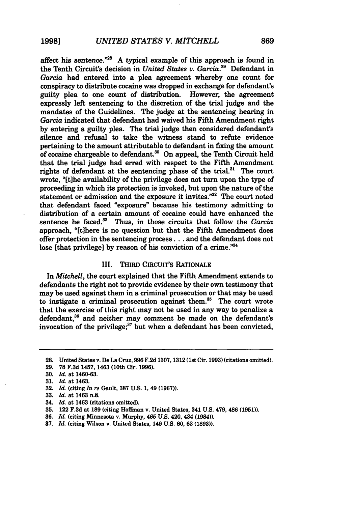affect his sentence. $^{\frac{728}{2}}$  A typical example of this approach is found in the Tenth Circuit's decision in *United States v. Garcia."* Defendant in *Garcia* had entered into a plea agreement whereby one count for conspiracy to distribute cocaine was dropped in exchange for defendant's guilty plea to one count of distribution. expressly left sentencing to the discretion of the trial judge and the mandates of the Guidelines. The judge at the sentencing hearing in *Garcia* indicated that defendant had waived his Fifth Amendment right **by** entering a guilty plea. The trial judge then considered defendant's silence and refusal to take the witness stand to refute evidence pertaining to the amount attributable to defendant in fixing the amount of cocaine chargeable to defendant.30 On appeal, the Tenth Circuit held that the trial judge had erred with respect to the Fifth Amendment rights of defendant at the sentencing phase of the trial.<sup>31</sup> The court wrote, "[tihe availability of the privilege does not turn upon the type of proceeding in which its protection is invoked, but upon the nature of the statement or admission and the exposure it invites. $132$  The court noted that defendant faced "exposure" because his testimony admitting to distribution of a certain amount of cocaine could have enhanced the sentence he faced.<sup>33</sup> Thus, in those circuits that follow the *Garcia* approach, "[tihere is no question but that the Fifth Amendment does offer protection in the sentencing process... and the defendant does not lose [that privilege] by reason of his conviction of a crime."<sup>34</sup>

# **III.** THIRD CIRcuIT's RATIONALE

In *Mitchell,* the court explained that the Fifth Amendment extends to defendants the right not to provide evidence **by** their own testimony that may be used against them in a criminal prosecution or that may be used to instigate a criminal prosecution against them. $35$  The court wrote that the exercise of this right may not be used in any way to penalize a defendant,<sup>36</sup> and neither may comment be made on the defendant's invocation of the privilege; $37$  but when a defendant has been convicted,

- 34. *Id.* **at** 1463 (citations omitted).
- **35.** 122 **F.3d** at **189** (citing Hoffman v. United States, 341 **U.S.** 479, 486 **(1951)).**
- **36.** *Id.* (citing Minnesota v. Murphy, 465 **U.S.** 420, 434 (1984)).
- **37.** *Id.* (citing Wilson v. United States, 149 **U.S. 60, 62 (1893)).**

<sup>28.</sup> United States v. De La Cruz, **996 F.2d 1307, 1312** (1st Cir. **1993)** (citations omitted).

**<sup>29. 78</sup> F.3d 1457,** 1463 (10th Cir. **1996).**

**<sup>30.</sup>** *Id* **at 1460-63.**

*<sup>31.</sup> Id* **at** 1463.

**<sup>32.</sup>** *Id.* (citing *In re* Gault, **387 U.S. 1,** 49 **(1967)).**

**<sup>33.</sup>** *Id.* **at** 1463 n.8.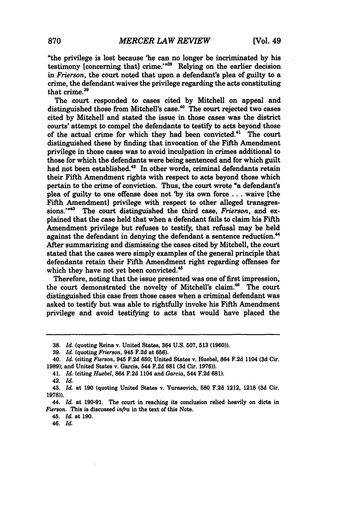"the privilege is lost because 'he can no longer be incriminated **by** his testimony [concerning that] crime."<sup>38</sup> Relying on the earlier decision **in** *Frierson,* the court noted that upon a defendant's plea of guilty to a crime, the defendant waives the privilege regarding the acts constituting that crime.<sup>39</sup>

The court responded to cases cited by Mitchell on appeal and distinguished those from Mitchell's case. $^{40}$  The court rejected two cases cited by Mitchell and stated the issue in those cases was the district courts' attempt to compel the defendants to testify to acts beyond those of the actual crime for which they had been convicted.<sup>41</sup> The court distinguished these by finding that invocation of the Fifth Amendment privilege in those cases was to avoid inculpation in crimes additional to those for which the defendants were being sentenced and for which guilt had not been established.<sup>42</sup> In other words, criminal defendants retain their Fifth Amendment rights with respect to acts beyond those which pertain to the crime of conviction. Thus, the court wrote "a defendant's plea of guilty to one offense does not **'by** its own force ... waive [the Fifth Amendment] privilege with respect to other alleged transgressions."<sup>43</sup> The court distinguished the third case, *Frierson*, and explained that the case held that when a defendant fails to claim his Fifth Amendment privilege but refuses to testify, that refusal may be held against the defendant in denying the defendant a sentence reduction.<sup>44</sup> After summarizing and dismissing the cases cited by Mitchell, the court stated that the cases were simply examples of the general principle that defendants retain their Fifth Amendment right regarding offenses for which they have not yet been convicted.<sup>45</sup>

Therefore, noting that the issue presented was one of first impression, the court demonstrated the novelty of Mitchell's claim.<sup>46</sup> The court distinguished this case from those cases when a criminal defendant was asked to testify but was able to rightfully invoke his Fifth Amendment privilege and avoid testifying to acts that would have placed the

**45.** *Id.* at **190.**

46. *Id.*

**<sup>38.</sup>** *Id.* (quoting Reina v. United States, 364 **U.S. 507, 513 (1960)).**

**<sup>39.</sup>** *Id.* (quoting *Frierson,* 945 **F.2d** at **656).**

<sup>40.</sup> *Id.* (citing *Fierson,* 945 **F.2d 650;** United States v. Huebel, 864 **F.2d** 1104 **(3d** Cir. **1989);** and United States v. Garcia, 544 **F.2d 681 (3d** Cir. **1976)).**

**<sup>41.</sup>** *Id.* (citing *Huebel,* 864 **F.2d** 1104 and *Garcia,* 544 **F.2d 681).**

<sup>42.</sup> *Id.*

<sup>43.</sup> *Id.* at **190** (quoting United States v. Yurasovich, **580 F.2d** 1212, **1218 (3d** Cir. **1978)).**

<sup>44.</sup> *Id.* at **190-91.** The court in reaching its conclusion relied heavily on dicta in *Fierson.* This is discussed *infra* in the text of this Note.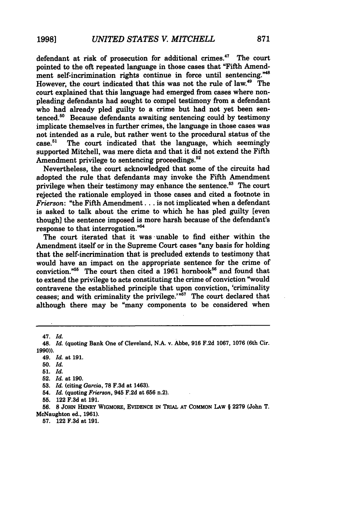defendant at risk of prosecution for additional crimes.<sup>47</sup> The court pointed to the oft repeated language in those cases that "Fifth Amendment self-incrimination rights continue in force until sentencing."<sup>48</sup> However, the court indicated that this was not the rule of law.49 The court explained that this language had emerged from cases where nonpleading defendants had sought to compel testimony from a defendant who had already pled guilty to a crime but had not yet been sentenced. $50$  Because defendants awaiting sentencing could by testimony implicate themselves in further crimes, the language in those cases was not intended as a rule, but rather went to the procedural status of the case.<sup>51</sup> The court indicated that the language, which seemingly The court indicated that the language, which seemingly supported Mitchell, was mere dicta and that it did not extend the Fifth Amendment privilege to sentencing proceedings.<sup>52</sup>

Nevertheless, the court acknowledged that some of the circuits had adopted the rule that defendants may invoke the Fifth Amendment privilege when their testimony may enhance the sentence.<sup>53</sup> The court rejected the rationale employed in those cases and cited a footnote in *Frierson:* "the Fifth Amendment... is not implicated when a defendant is asked to talk about the crime to which he has pled guilty [even though] the sentence imposed is more harsh because of the defendant's response to that interrogation."5

The court iterated that it was unable to find either within the Amendment itself or in the Supreme Court cases "any basis for holding that the self-incrimination that is precluded extends to testimony that would have an impact on the appropriate sentence for the crime of conviction."<sup>55</sup> The court then cited a 1961 hornbook<sup>56</sup> and found that to extend the privilege to acts constituting the crime of conviction "would contravene the established principle that upon conviction, 'criminality ceases; and with criminality the privilege.'" $57$  The court declared that although there may be "many components to be considered when

47. *Id.*

- 49. *Id.* at **191.**
- **50.** *Id.*
- **51.** *Id.*
- **52.** *Id.* at **190.**
- **53.** *Id* (citing *Garcia,* **78 F.3d** at 1463).
- 54. *Id.* (quoting *Frierson,* 945 **F.2d** at **656** n.2).
- **55.** 122 **F.3d** at **191.**

**56. 8** JOHN HENRY **WIGMORE, EVIDENCE** IN TRIAL **AT** COMMON **LAW** § **2279** (John T. McNaughton ed., **1961).**

**57.** 122 **F.3d** at **191.**

*<sup>48.</sup> Id.* (quoting Bank One of Cleveland, **N.A.** v. Abbe, **916 F.2d 1067, 1076** (6th Cir. **1990)).**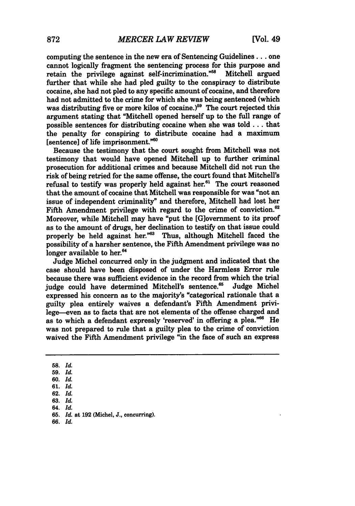computing the sentence in the new era of Sentencing Guidelines... one cannot logically fragment the sentencing process for this purpose and retain the privilege against self-incrimination."<sup>58</sup> Mitchell argued further that while she had pled guilty to the conspiracy to distribute cocaine, she had not pled to any specific amount of cocaine, and therefore had not admitted to the crime for which she was being sentenced (which was distributing five or more kilos of cocaine.)<sup>59</sup> The court rejected this argument stating that "Mitchell opened herself up to the full range of possible sentences for distributing cocaine when she was **told...** that the penalty for conspiring to distribute cocaine had a maximum [sentence] of life imprisonment."60

Because the testimony that the court sought from Mitchell was not testimony that would have opened Mitchell up to further criminal prosecution for additional crimes and because Mitchell did not run the risk of being retried for the same offense, the court found that Mitchell's refusal to testify was properly held against her.<sup>61</sup> The court reasoned that the amount of cocaine that Mitchell was responsible for was "not an issue of independent criminality" and therefore, Mitchell had lost her Fifth Amendment privilege with regard to the crime of conviction.<sup>62</sup> Moreover, while Mitchell may have "put the [G]overnment to its proof as to the amount of drugs, her declination to testify on that issue could properly be held against her."<sup>63</sup> Thus, although Mitchell faced the possibility of a harsher sentence, the Fifth Amendment privilege was no longer available to her.<sup>64</sup>

Judge Michel concurred only in the judgment and indicated that the case should have been disposed of under the Harmless Error rule because there was sufficient evidence in the record from which the trial judge could have determined Mitchell's sentence.<sup>65</sup> Judge Michel expressed his concern as to the majority's "categorical rationale that a guilty plea entirely waives a defendant's Fifth Amendment privilege-even as to facts that are not elements of the offense charged and as to which a defendant expressly 'reserved' in offering a plea."<sup>66</sup> He was not prepared to rule that a guilty plea to the crime of conviction waived the Fifth Amendment privilege "in the face of such an express

- **60.** *Id.*
- **61.** *Id.* **62.** *Id.*
- **63.** *1&*
- **64.** *Id.*
- **65.** *Id.* at **192** (Michel, **J.,** concurring).
- **66.** *Id.*

**<sup>58.</sup>** *Id.*

**<sup>59.</sup>** *Id.*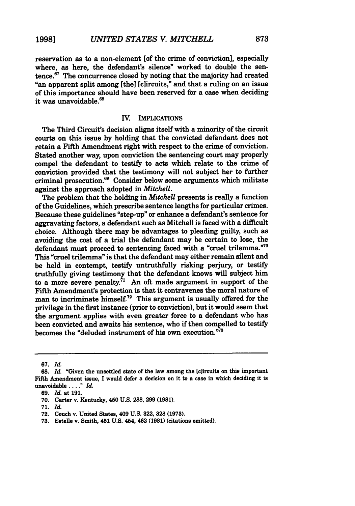reservation as to a non-element [of the crime of conviction], especially where, as here, the defendant's silence" worked to double the sentence.67 The concurrence closed by noting that the majority had created "an apparent split among [the] [clircuits," and that a ruling on an issue of this importance should have been reserved for a case when deciding it was unavoidable.<sup>68</sup>

### IV. IMPLICATIONS

The Third Circuit's decision aligns itself with a minority of the circuit courts on this issue **by** holding that the convicted defendant does not retain a Fifth Amendment right with respect to the crime of conviction. Stated another way, upon conviction the sentencing court may properly compel the defendant to testify to acts which relate to the crime of conviction provided that the testimony will not subject her to further criminal prosecution.<sup>69</sup> Consider below some arguments which militate against the approach adopted in *Mitchell.*

The problem that the holding in *Mitchell* presents is really a function of the Guidelines, which prescribe sentence lengths for particular crimes. Because these guidelines "step-up" or enhance a defendant's sentence for aggravating factors, a defendant such as Mitchell is faced with a difficult choice. Although there may be advantages to pleading guilty, such as avoiding the cost of a trial the defendant may be certain to lose, the defendant must proceed to sentencing faced with a "cruel trilemma."<sup>70</sup> This "cruel trilemma" is that the defendant may either remain silent and be held in contempt, testify untruthfully risking perjury, or testify truthfully giving testimony that the defendant knows will subject him to a more severe penalty. $^{71}$  An oft made argument in support of the Fifth Amendment's protection is that it contravenes the moral nature of man to incriminate himself.<sup>72</sup> This argument is usually offered for the privilege in the first instance (prior to conviction), but it would seem that the argument applies with even greater force to a defendant who has been convicted and awaits his sentence, who if then compelled to testify becomes the "deluded instrument of his own execution. $\bar{m}^3$ 

**<sup>67.</sup>** *Id.*

**<sup>68.</sup>** *Id.* "Given the unsettled state of the law among the [clircuits on this important Fifth Amendment issue, **I** would defer a decision on it to a case in which deciding it is **unavoidable** *.... " Id.*

**<sup>69.</sup>** *Id.* at **191.**

**<sup>70.</sup>** Carter v. Kentucky, 450 **U.S. 288, 299 (1981).**

**<sup>71.</sup>** *Id.*

**<sup>72.</sup>** Couch v. United States, 409 **U.S. 322, 328 (1973).**

**<sup>73.</sup>** Estelle v. Smith, 451 **U.S.** 454, 462 **(1981)** (citations omitted).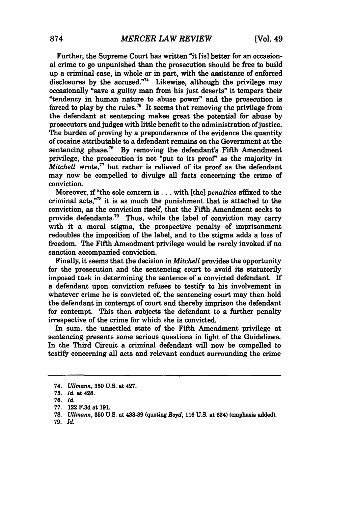Further, the Supreme Court has written "it [is] better for an occasional crime to go unpunished than the prosecution should be free to build up a criminal case, in whole or in part, with the assistance of enforced disclosures **by** the accused."74 Likewise, although the privilege may occasionally "save a guilty man from his just deserts" it tempers their "tendency in human nature to abuse power" and the prosecution is forced to play by the rules.<sup>75</sup> It seems that removing the privilege from the defendant at sentencing makes great the potential for abuse **by** prosecutors and judges with little benefit to the administration of justice. The burden of proving **by** a preponderance of the evidence the quantity of cocaine attributable to a defendant remains on the Government at the sentencing phase.<sup>76</sup> By removing the defendant's Fifth Amendment privilege, the prosecution is not "put to its proof" as the majority in *Mitchell* wrote,<sup>77</sup> but rather is relieved of its proof as the defendant may now be compelled to divulge all facts concerning the crime of conviction.

Moreover, if "the sole concern **is...** with [the] *penalties* affixed to the criminal acts,"78 it is as much the punishment that is attached to the conviction, as the conviction itself, that the Fifth Amendment seeks to provide defendants.<sup>79</sup> Thus, while the label of conviction may carry with it a moral stigma, the prospective penalty of imprisonment redoubles the imposition of the label, and to the stigma adds a loss of freedom. The Fifth Amendment privilege would be rarely invoked if no sanction accompanied conviction.

Finally, it seems that the decision in *Mitchell* provides the opportunity for the prosecution and the sentencing court to avoid its statutorily imposed task in determining the sentence of a convicted defendant. If a defendant upon conviction refuses to testify to his involvement in whatever crime he is convicted of, the sentencing court may then hold the defendant in contempt of court and thereby imprison the defendant for contempt. This then subjects the defendant to a further penalty irrespective of the crime for which she is convicted.

In sum, the unsettled state of the Fifth Amendment privilege at sentencing presents some serious questions in light of the Guidelines. In the Third Circuit a criminal defendant will now be compelled to testify concerning all acts and relevant conduct surrounding the crime

**79.** *Id.*

<sup>74.</sup> *Ullmann,* **350 U.S.** at 427.

**<sup>75,</sup>** *Id.* at 428.

**<sup>76.</sup>** *Id.*

**<sup>77.</sup>** 122 **F.3d** at **191.**

**<sup>78.</sup>** *Ullmann,* **350 U.S.** at 438-39 (quoting *Boyd,* **116 U.S.** at 634) (emphasis added).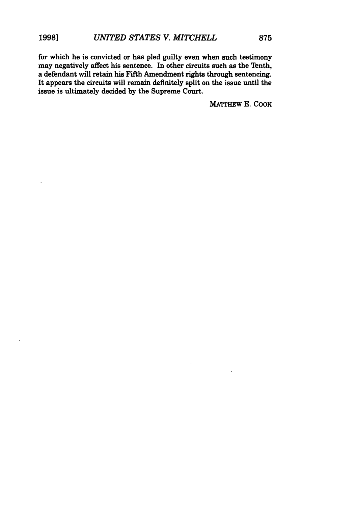for which he is convicted or has pled guilty even when such testimony may negatively affect his sentence. In other circuits such as the Tenth, a defendant will retain his Fifth Amendment rights through sentencing. It appears the circuits will remain definitely split on the issue until the issue is ultimately decided **by** the Supreme Court.

MATTHEw **E.** COOK